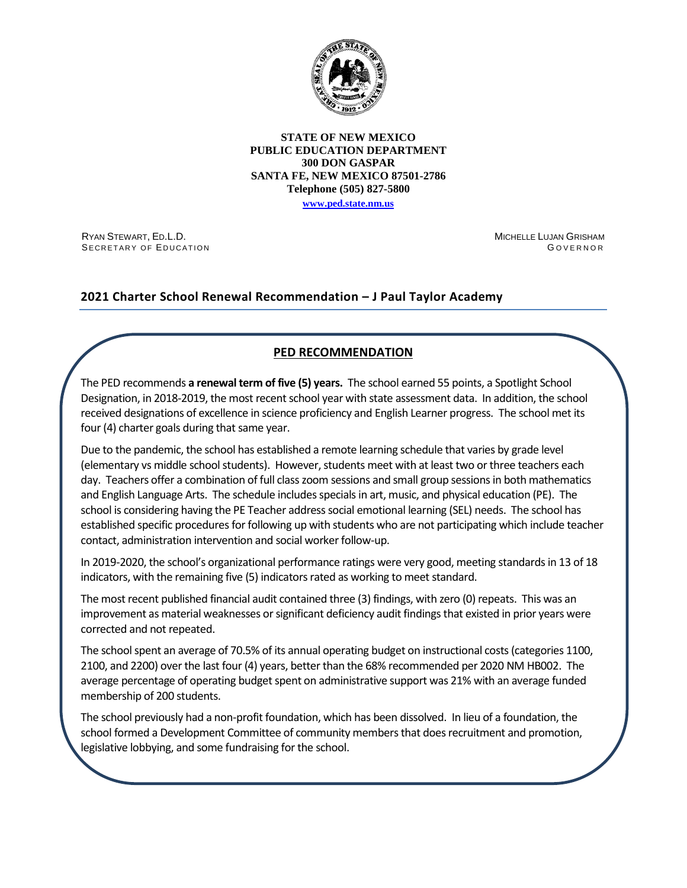

#### **STATE OF NEW MEXICO PUBLIC EDUCATION DEPARTMENT 300 DON GASPAR SANTA FE, NEW MEXICO 87501-2786 Telephone (505) 827-5800**

**[www.ped.state.nm.us](http://webnew.ped.state.nm.us/)**

RYAN STEWART, ED.L.D. SECRETARY OF EDUCATION MICHELLE LUJAN GRISHAM G OVERNOR

# **2021 Charter School Renewal Recommendation – J Paul Taylor Academy**

# **PED RECOMMENDATION**

The PED recommends **a renewal term of five (5) years.** The school earned 55 points, a Spotlight School Designation, in 2018-2019, the most recent school year with state assessment data. In addition, the school received designations of excellence in science proficiency and English Learner progress. The school met its four (4) charter goals during that same year.

Due to the pandemic, the school has established a remote learning schedule that varies by grade level (elementary vs middle school students). However, students meet with at least two or three teachers each day. Teachers offer a combination of full class zoom sessions and small group sessions in both mathematics and English Language Arts. The schedule includes specials in art, music, and physical education (PE). The school is considering having the PE Teacher address social emotional learning (SEL) needs. The school has established specific procedures for following up with students who are not participating which include teacher contact, administration intervention and social worker follow-up.

In 2019-2020, the school's organizational performance ratings were very good, meeting standards in 13 of 18 indicators, with the remaining five (5) indicators rated as working to meet standard.

The most recent published financial audit contained three (3) findings, with zero (0) repeats. This was an improvement as material weaknesses or significant deficiency audit findings that existed in prior years were corrected and not repeated.

The school spent an average of 70.5% of its annual operating budget on instructional costs (categories 1100, 2100, and 2200) over the last four (4) years, better than the 68% recommended per 2020 NM HB002. The average percentage of operating budget spent on administrative support was 21% with an average funded membership of 200 students.

The school previously had a non-profit foundation, which has been dissolved. In lieu of a foundation, the school formed a Development Committee of community members that does recruitment and promotion, legislative lobbying, and some fundraising for the school.